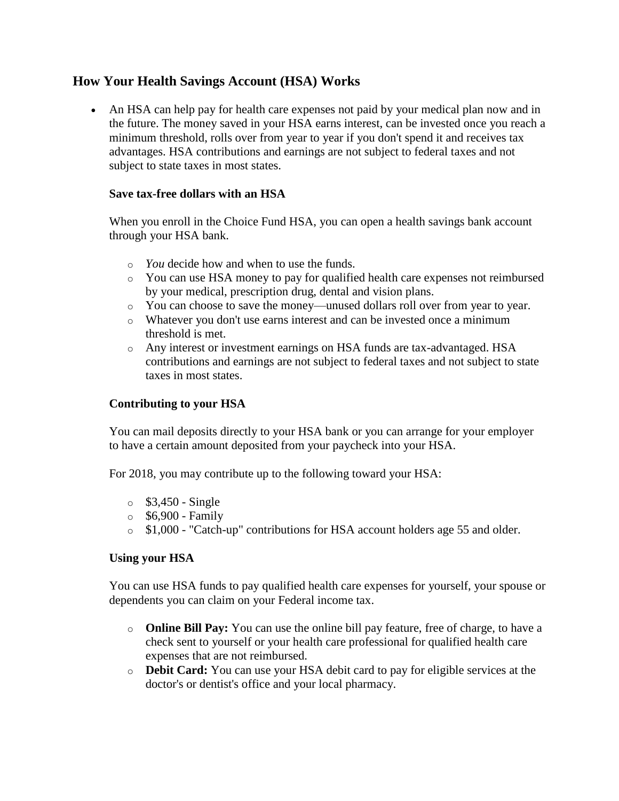# **How Your Health Savings Account (HSA) Works**

 An HSA can help pay for health care expenses not paid by your medical plan now and in the future. The money saved in your HSA earns interest, can be invested once you reach a minimum threshold, rolls over from year to year if you don't spend it and receives tax advantages. HSA contributions and earnings are not subject to federal taxes and not subject to state taxes in most states.

## **Save tax-free dollars with an HSA**

When you enroll in the Choice Fund HSA, you can open a health savings bank account through your HSA bank.

- o *You* decide how and when to use the funds.
- o You can use HSA money to pay for qualified health care expenses not reimbursed by your medical, prescription drug, dental and vision plans.
- o You can choose to save the money—unused dollars roll over from year to year.
- o Whatever you don't use earns interest and can be invested once a minimum threshold is met.
- o Any interest or investment earnings on HSA funds are tax-advantaged. HSA contributions and earnings are not subject to federal taxes and not subject to state taxes in most states.

# **Contributing to your HSA**

You can mail deposits directly to your HSA bank or you can arrange for your employer to have a certain amount deposited from your paycheck into your HSA.

For 2018, you may contribute up to the following toward your HSA:

- $\circ$  \$3,450 Single
- $\circ$  \$6,900 Family
- o \$1,000 "Catch-up" contributions for HSA account holders age 55 and older.

# **Using your HSA**

You can use HSA funds to pay qualified health care expenses for yourself, your spouse or dependents you can claim on your Federal income tax.

- o **Online Bill Pay:** You can use the online bill pay feature, free of charge, to have a check sent to yourself or your health care professional for qualified health care expenses that are not reimbursed.
- o **Debit Card:** You can use your HSA debit card to pay for eligible services at the doctor's or dentist's office and your local pharmacy.